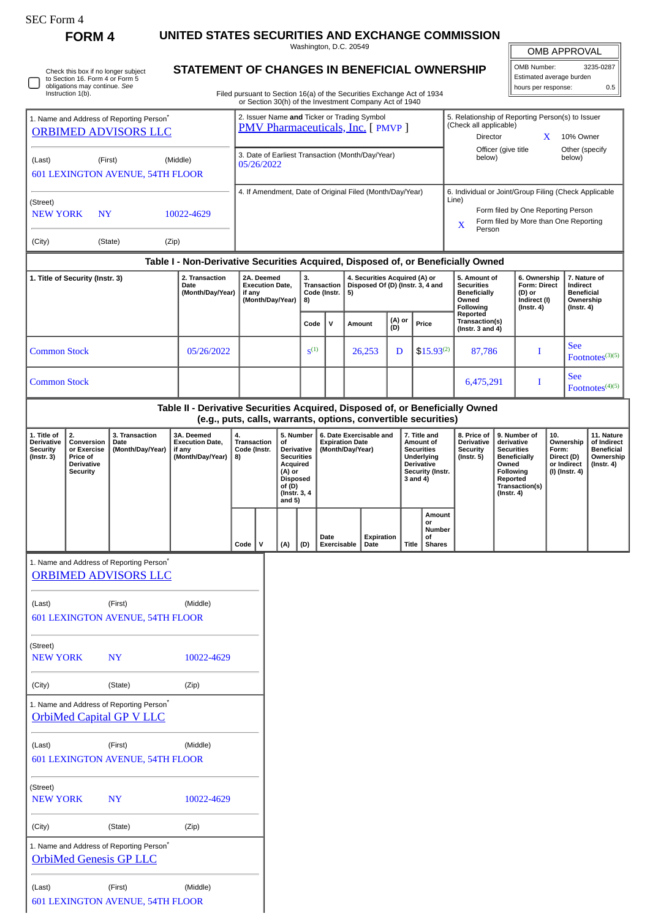| SEC Form. |
|-----------|
|-----------|

**FORM 4 UNITED STATES SECURITIES AND EXCHANGE COMMISSION** Washington, D.C. 20549

OMB APPROVAL

| Washington, D.C. 20549                                                 | <b>OMB APPROVAL</b>                                    |           |  |  |  |
|------------------------------------------------------------------------|--------------------------------------------------------|-----------|--|--|--|
| STATEMENT OF CHANGES IN BENEFICIAL OWNERSHIP                           | l OMB Number:                                          | 3235-0287 |  |  |  |
| Filed pursuant to Section 16(a) of the Securities Exchange Act of 1934 | Estimated average burden<br>0.5<br>hours per response: |           |  |  |  |
| or Section 30(h) of the Investment Company Act of 1940                 |                                                        |           |  |  |  |

|                                                                                     | Check this box if no longer subject<br>to Section 16. Form 4 or Form 5<br>obligations may continue. See<br>Instruction 1(b).                                                                                                                                                                                                                                                                                                          |                                                                                       | STATEMENT OF CHANGES IN BENEFICIAL OWNERSHIP                                                                                                    |                                                                                                                                             |                                                          |                  |                                                                         |                                                           | Filed pursuant to Section 16(a) of the Securities Exchange Act of 1934 |                                                                                                                       |                                                           |                                                                                                                                                              |                                                                                 |                                                                            |                 | Estimated average burden<br>hours per response:                                |                             |            | 0.5                |
|-------------------------------------------------------------------------------------|---------------------------------------------------------------------------------------------------------------------------------------------------------------------------------------------------------------------------------------------------------------------------------------------------------------------------------------------------------------------------------------------------------------------------------------|---------------------------------------------------------------------------------------|-------------------------------------------------------------------------------------------------------------------------------------------------|---------------------------------------------------------------------------------------------------------------------------------------------|----------------------------------------------------------|------------------|-------------------------------------------------------------------------|-----------------------------------------------------------|------------------------------------------------------------------------|-----------------------------------------------------------------------------------------------------------------------|-----------------------------------------------------------|--------------------------------------------------------------------------------------------------------------------------------------------------------------|---------------------------------------------------------------------------------|----------------------------------------------------------------------------|-----------------|--------------------------------------------------------------------------------|-----------------------------|------------|--------------------|
| 1. Name and Address of Reporting Person <sup>*</sup><br><b>ORBIMED ADVISORS LLC</b> |                                                                                                                                                                                                                                                                                                                                                                                                                                       |                                                                                       |                                                                                                                                                 | or Section 30(h) of the Investment Company Act of 1940<br>2. Issuer Name and Ticker or Trading Symbol<br>PMV Pharmaceuticals, Inc. [ PMVP ] |                                                          |                  |                                                                         |                                                           |                                                                        |                                                                                                                       |                                                           | 5. Relationship of Reporting Person(s) to Issuer<br>(Check all applicable)<br>Director                                                                       |                                                                                 |                                                                            | X               |                                                                                | 10% Owner                   |            |                    |
| (First)<br>(Middle)<br>(Last)<br>601 LEXINGTON AVENUE, 54TH FLOOR                   |                                                                                                                                                                                                                                                                                                                                                                                                                                       |                                                                                       |                                                                                                                                                 | 3. Date of Earliest Transaction (Month/Day/Year)<br>05/26/2022                                                                              |                                                          |                  |                                                                         |                                                           |                                                                        |                                                                                                                       | Other (specify<br>Officer (give title<br>below)<br>below) |                                                                                                                                                              |                                                                                 |                                                                            |                 |                                                                                |                             |            |                    |
| (Street)<br><b>NEW YORK</b><br><b>NY</b><br>10022-4629                              |                                                                                                                                                                                                                                                                                                                                                                                                                                       |                                                                                       |                                                                                                                                                 |                                                                                                                                             | 4. If Amendment, Date of Original Filed (Month/Day/Year) |                  |                                                                         |                                                           |                                                                        |                                                                                                                       |                                                           | 6. Individual or Joint/Group Filing (Check Applicable<br>Line)<br>Form filed by One Reporting Person<br>Form filed by More than One Reporting<br>X<br>Person |                                                                                 |                                                                            |                 |                                                                                |                             |            |                    |
| (City)                                                                              |                                                                                                                                                                                                                                                                                                                                                                                                                                       | (State)                                                                               | (Zip)                                                                                                                                           |                                                                                                                                             |                                                          |                  |                                                                         |                                                           |                                                                        |                                                                                                                       |                                                           |                                                                                                                                                              |                                                                                 |                                                                            |                 |                                                                                |                             |            |                    |
|                                                                                     | Table I - Non-Derivative Securities Acquired, Disposed of, or Beneficially Owned<br>2. Transaction<br>1. Title of Security (Instr. 3)<br>Date<br>(Month/Day/Year)                                                                                                                                                                                                                                                                     |                                                                                       | 2A. Deemed<br><b>Execution Date,</b><br>if any<br>(Month/Day/Year)                                                                              |                                                                                                                                             | 3.<br>Transaction<br>Code (Instr.<br>8)                  |                  | 4. Securities Acquired (A) or<br>Disposed Of (D) (Instr. 3, 4 and<br>5) |                                                           |                                                                        |                                                                                                                       |                                                           | 5. Amount of<br><b>Securities</b><br><b>Beneficially</b><br>Owned<br>Following<br>Reported                                                                   |                                                                                 | 6. Ownership<br>Form: Direct<br>(D) or<br>Indirect (I)<br>$($ Instr. 4 $)$ |                 | 7. Nature of<br>Indirect<br><b>Beneficial</b><br>Ownership<br>$($ Instr. 4 $)$ |                             |            |                    |
|                                                                                     |                                                                                                                                                                                                                                                                                                                                                                                                                                       |                                                                                       |                                                                                                                                                 |                                                                                                                                             |                                                          |                  | Code                                                                    | $\mathsf{v}$                                              | Amount                                                                 | (D)                                                                                                                   | (A) or                                                    | Price                                                                                                                                                        |                                                                                 | Transaction(s)<br>(Instr. $3$ and $4$ )                                    |                 |                                                                                |                             |            |                    |
| <b>Common Stock</b>                                                                 |                                                                                                                                                                                                                                                                                                                                                                                                                                       |                                                                                       | 05/26/2022                                                                                                                                      |                                                                                                                                             |                                                          |                  | $S^{(1)}$                                                               |                                                           | 26,253                                                                 |                                                                                                                       | D                                                         | $$15.93^{(2)}$                                                                                                                                               |                                                                                 | 87,786                                                                     |                 | I                                                                              |                             | <b>See</b> | Footnotes $(3)(5)$ |
| <b>Common Stock</b>                                                                 |                                                                                                                                                                                                                                                                                                                                                                                                                                       |                                                                                       |                                                                                                                                                 |                                                                                                                                             |                                                          |                  |                                                                         |                                                           |                                                                        |                                                                                                                       |                                                           |                                                                                                                                                              |                                                                                 | 6,475,291                                                                  | <b>See</b><br>Ι |                                                                                | Footnotes <sup>(4)(5)</sup> |            |                    |
|                                                                                     |                                                                                                                                                                                                                                                                                                                                                                                                                                       |                                                                                       | Table II - Derivative Securities Acquired, Disposed of, or Beneficially Owned<br>(e.g., puts, calls, warrants, options, convertible securities) |                                                                                                                                             |                                                          |                  |                                                                         |                                                           |                                                                        |                                                                                                                       |                                                           |                                                                                                                                                              |                                                                                 |                                                                            |                 |                                                                                |                             |            |                    |
| 1. Title of<br><b>Derivative</b><br><b>Security</b><br>(Instr. 3)                   | 2.<br>3A. Deemed<br>4.<br>5. Number<br>3. Transaction<br>Conversion<br><b>Execution Date,</b><br>Transaction<br><b>Expiration Date</b><br>Date<br>οf<br>or Exercise<br>(Month/Day/Year)<br>Code (Instr.<br>Derivative<br>(Month/Day/Year)<br>if any<br>(Month/Day/Year)<br><b>Securities</b><br>Price of<br>8)<br><b>Derivative</b><br>Acquired<br><b>Security</b><br>(A) or<br><b>Disposed</b><br>of (D)<br>(Instr. 3, 4<br>and $5)$ |                                                                                       | 6. Date Exercisable and<br>7. Title and<br>Amount of<br><b>Securities</b><br>Underlying<br><b>Derivative</b><br>3 and 4)                        |                                                                                                                                             |                                                          | Security (Instr. |                                                                         | 8. Price of<br>Derivative<br>Security<br>$($ Instr. 5 $)$ | Owned<br>Reported<br>$($ Instr. 4 $)$                                  | 10.<br>9. Number of<br>derivative<br><b>Securities</b><br>Form:<br><b>Beneficially</b><br>Following<br>Transaction(s) |                                                           | Ownership<br>Direct (D)<br>or Indirect<br>(I) (Instr. 4)                                                                                                     | 11. Nature<br>of Indirect<br><b>Beneficial</b><br>Ownership<br>$($ Instr. 4 $)$ |                                                                            |                 |                                                                                |                             |            |                    |
|                                                                                     |                                                                                                                                                                                                                                                                                                                                                                                                                                       |                                                                                       |                                                                                                                                                 | $Code \vert$                                                                                                                                | $\mathsf{V}$                                             | (A)              | (D)                                                                     | Date<br>Exercisable                                       | Date                                                                   | Expiration                                                                                                            | Title                                                     | Amount<br>or<br>Number<br>of<br><b>Shares</b>                                                                                                                |                                                                                 |                                                                            |                 |                                                                                |                             |            |                    |
|                                                                                     |                                                                                                                                                                                                                                                                                                                                                                                                                                       | 1. Name and Address of Reporting Person <sup>*</sup><br><b>ORBIMED ADVISORS LLC</b>   |                                                                                                                                                 |                                                                                                                                             |                                                          |                  |                                                                         |                                                           |                                                                        |                                                                                                                       |                                                           |                                                                                                                                                              |                                                                                 |                                                                            |                 |                                                                                |                             |            |                    |
| (Last)                                                                              |                                                                                                                                                                                                                                                                                                                                                                                                                                       | (First)<br>601 LEXINGTON AVENUE, 54TH FLOOR                                           | (Middle)                                                                                                                                        |                                                                                                                                             |                                                          |                  |                                                                         |                                                           |                                                                        |                                                                                                                       |                                                           |                                                                                                                                                              |                                                                                 |                                                                            |                 |                                                                                |                             |            |                    |
| (Street)<br><b>NEW YORK</b>                                                         |                                                                                                                                                                                                                                                                                                                                                                                                                                       | <b>NY</b>                                                                             | 10022-4629                                                                                                                                      |                                                                                                                                             |                                                          |                  |                                                                         |                                                           |                                                                        |                                                                                                                       |                                                           |                                                                                                                                                              |                                                                                 |                                                                            |                 |                                                                                |                             |            |                    |
| (City)                                                                              |                                                                                                                                                                                                                                                                                                                                                                                                                                       | (State)<br>1. Name and Address of Reporting Person <sup>*</sup>                       | (Zip)                                                                                                                                           |                                                                                                                                             |                                                          |                  |                                                                         |                                                           |                                                                        |                                                                                                                       |                                                           |                                                                                                                                                              |                                                                                 |                                                                            |                 |                                                                                |                             |            |                    |
|                                                                                     |                                                                                                                                                                                                                                                                                                                                                                                                                                       | OrbiMed Capital GP V LLC                                                              |                                                                                                                                                 |                                                                                                                                             |                                                          |                  |                                                                         |                                                           |                                                                        |                                                                                                                       |                                                           |                                                                                                                                                              |                                                                                 |                                                                            |                 |                                                                                |                             |            |                    |
| (Last)                                                                              |                                                                                                                                                                                                                                                                                                                                                                                                                                       | (First)<br>601 LEXINGTON AVENUE, 54TH FLOOR                                           | (Middle)                                                                                                                                        |                                                                                                                                             |                                                          |                  |                                                                         |                                                           |                                                                        |                                                                                                                       |                                                           |                                                                                                                                                              |                                                                                 |                                                                            |                 |                                                                                |                             |            |                    |
| (Street)<br><b>NEW YORK</b>                                                         |                                                                                                                                                                                                                                                                                                                                                                                                                                       | <b>NY</b>                                                                             | 10022-4629                                                                                                                                      |                                                                                                                                             |                                                          |                  |                                                                         |                                                           |                                                                        |                                                                                                                       |                                                           |                                                                                                                                                              |                                                                                 |                                                                            |                 |                                                                                |                             |            |                    |
| (City)                                                                              |                                                                                                                                                                                                                                                                                                                                                                                                                                       | (State)                                                                               | (Zip)                                                                                                                                           |                                                                                                                                             |                                                          |                  |                                                                         |                                                           |                                                                        |                                                                                                                       |                                                           |                                                                                                                                                              |                                                                                 |                                                                            |                 |                                                                                |                             |            |                    |
|                                                                                     |                                                                                                                                                                                                                                                                                                                                                                                                                                       | 1. Name and Address of Reporting Person <sup>*</sup><br><b>OrbiMed Genesis GP LLC</b> |                                                                                                                                                 |                                                                                                                                             |                                                          |                  |                                                                         |                                                           |                                                                        |                                                                                                                       |                                                           |                                                                                                                                                              |                                                                                 |                                                                            |                 |                                                                                |                             |            |                    |
| (Last)                                                                              |                                                                                                                                                                                                                                                                                                                                                                                                                                       | (First)<br><b>601 LEXINGTON AVENUE, 54TH FLOOR</b>                                    | (Middle)                                                                                                                                        |                                                                                                                                             |                                                          |                  |                                                                         |                                                           |                                                                        |                                                                                                                       |                                                           |                                                                                                                                                              |                                                                                 |                                                                            |                 |                                                                                |                             |            |                    |